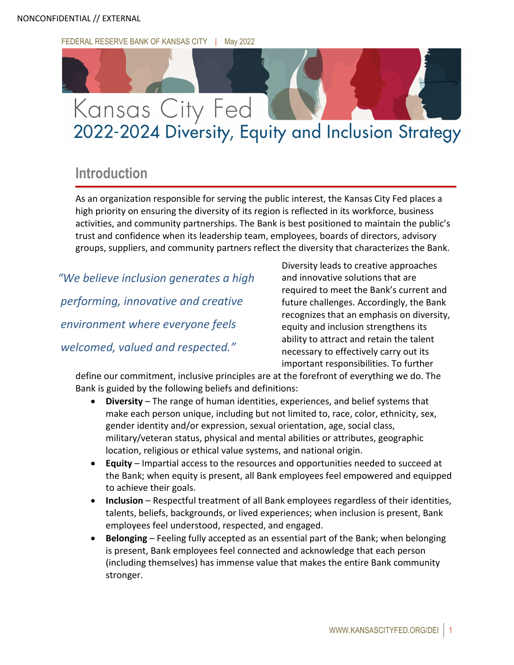FEDERAL RESERVE BANK OF KANSAS CITY | May 2022



# 2022-2024 Diversity, Equity and Inclusion Strategy

# **Introduction**

As an organization responsible for serving the public interest, the Kansas City Fed places a high priority on ensuring the diversity of its region is reflected in its workforce, business activities, and community partnerships. The Bank is best positioned to maintain the public's trust and confidence when its leadership team, employees, boards of directors, advisory groups, suppliers, and community partners reflect the diversity that characterizes the Bank.

*"We believe inclusion generates a high performing, innovative and creative environment where everyone feels welcomed, valued and respected."*

Diversity leads to creative approaches and innovative solutions that are required to meet the Bank's current and future challenges. Accordingly, the Bank recognizes that an emphasis on diversity, equity and inclusion strengthens its ability to attract and retain the talent necessary to effectively carry out its important responsibilities. To further

define our commitment, inclusive principles are at the forefront of everything we do. The Bank is guided by the following beliefs and definitions:

- **Diversity** The range of human identities, experiences, and belief systems that make each person unique, including but not limited to, race, color, ethnicity, sex, gender identity and/or expression, sexual orientation, age, social class, military/veteran status, physical and mental abilities or attributes, geographic location, religious or ethical value systems, and national origin.
- **Equity** Impartial access to the resources and opportunities needed to succeed at the Bank; when equity is present, all Bank employees feel empowered and equipped to achieve their goals.
- **Inclusion** Respectful treatment of all Bank employees regardless of their identities, talents, beliefs, backgrounds, or lived experiences; when inclusion is present, Bank employees feel understood, respected, and engaged.
- **Belonging** Feeling fully accepted as an essential part of the Bank; when belonging is present, Bank employees feel connected and acknowledge that each person (including themselves) has immense value that makes the entire Bank community stronger.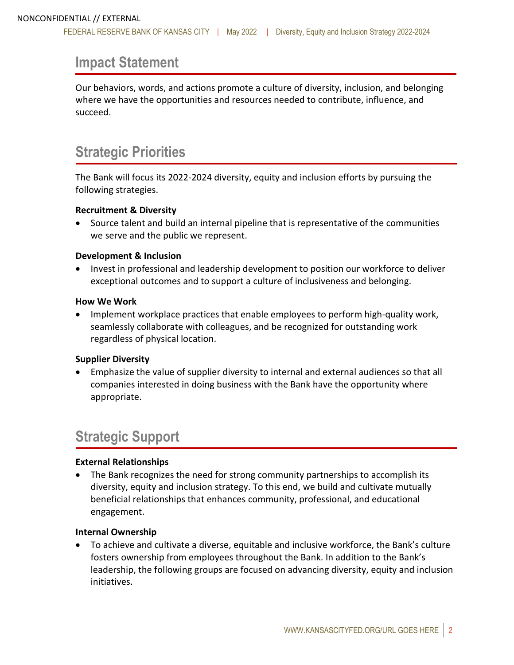### **Impact Statement**

Our behaviors, words, and actions promote a culture of diversity, inclusion, and belonging where we have the opportunities and resources needed to contribute, influence, and succeed.

# **Strategic Priorities**

The Bank will focus its 2022-2024 diversity, equity and inclusion efforts by pursuing the following strategies.

#### **Recruitment & Diversity**

• Source talent and build an internal pipeline that is representative of the communities we serve and the public we represent.

#### **Development & Inclusion**

• Invest in professional and leadership development to position our workforce to deliver exceptional outcomes and to support a culture of inclusiveness and belonging.

#### **How We Work**

• Implement workplace practices that enable employees to perform high-quality work, seamlessly collaborate with colleagues, and be recognized for outstanding work regardless of physical location.

#### **Supplier Diversity**

• Emphasize the value of supplier diversity to internal and external audiences so that all companies interested in doing business with the Bank have the opportunity where appropriate.

# **Strategic Support**

#### **External Relationships**

• The Bank recognizes the need for strong community partnerships to accomplish its diversity, equity and inclusion strategy. To this end, we build and cultivate mutually beneficial relationships that enhances community, professional, and educational engagement.

#### **Internal Ownership**

• To achieve and cultivate a diverse, equitable and inclusive workforce, the Bank's culture fosters ownership from employees throughout the Bank. In addition to the Bank's leadership, the following groups are focused on advancing diversity, equity and inclusion initiatives.